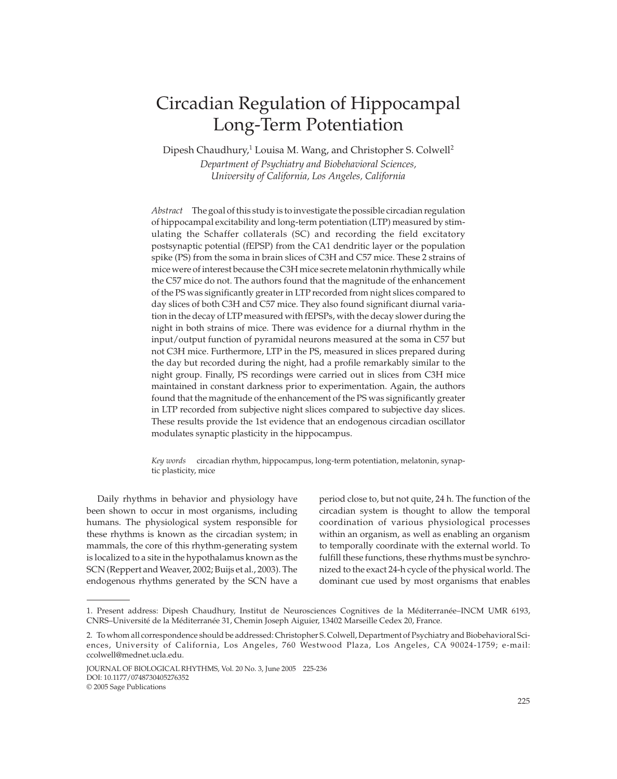# Circadian Regulation of Hippocampal Long-Term Potentiation

Dipesh Chaudhury,<sup>1</sup> Louisa M. Wang, and Christopher S. Colwell<sup>2</sup> *Department of Psychiatry and Biobehavioral Sciences, University of California, Los Angeles, California*

*Abstract* The goal of this study is to investigate the possible circadian regulation of hippocampal excitability and long-term potentiation (LTP) measured by stimulating the Schaffer collaterals (SC) and recording the field excitatory postsynaptic potential (fEPSP) from the CA1 dendritic layer or the population spike (PS) from the soma in brain slices of C3H and C57 mice. These 2 strains of mice were of interest because the C3H mice secrete melatonin rhythmically while the C57 mice do not. The authors found that the magnitude of the enhancement of the PS was significantly greater in LTP recorded from night slices compared to day slices of both C3H and C57 mice. They also found significant diurnal variation in the decay of LTP measured with fEPSPs, with the decay slower during the night in both strains of mice. There was evidence for a diurnal rhythm in the input/output function of pyramidal neurons measured at the soma in C57 but not C3H mice. Furthermore, LTP in the PS, measured in slices prepared during the day but recorded during the night, had a profile remarkably similar to the night group. Finally, PS recordings were carried out in slices from C3H mice maintained in constant darkness prior to experimentation. Again, the authors found that the magnitude of the enhancement of the PS was significantly greater in LTP recorded from subjective night slices compared to subjective day slices. These results provide the 1st evidence that an endogenous circadian oscillator modulates synaptic plasticity in the hippocampus.

*Key words* circadian rhythm, hippocampus, long-term potentiation, melatonin, synaptic plasticity, mice

Daily rhythms in behavior and physiology have been shown to occur in most organisms, including humans. The physiological system responsible for these rhythms is known as the circadian system; in mammals, the core of this rhythm-generating system is localized to a site in the hypothalamus known as the SCN (Reppert and Weaver, 2002; Buijs et al., 2003). The endogenous rhythms generated by the SCN have a

period close to, but not quite, 24 h. The function of the circadian system is thought to allow the temporal coordination of various physiological processes within an organism, as well as enabling an organism to temporally coordinate with the external world. To fulfill these functions, these rhythms must be synchronized to the exact 24-h cycle of the physical world. The dominant cue used by most organisms that enables

<sup>1.</sup> Present address: Dipesh Chaudhury, Institut de Neurosciences Cognitives de la Méditerranée–INCM UMR 6193, CNRS–Université de la Méditerranée 31, Chemin Joseph Aiguier, 13402 Marseille Cedex 20, France.

<sup>2.</sup> To whom all correspondence should be addressed: Christopher S. Colwell, Department of Psychiatry and Biobehavioral Sciences, University of California, Los Angeles, 760 Westwood Plaza, Los Angeles, CA 90024-1759; e-mail: ccolwell@mednet.ucla.edu.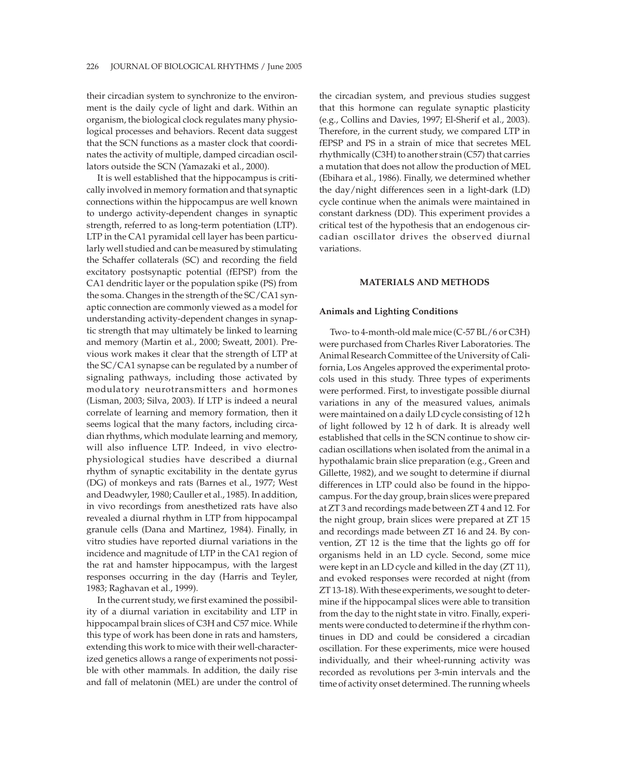their circadian system to synchronize to the environment is the daily cycle of light and dark. Within an organism, the biological clock regulates many physiological processes and behaviors. Recent data suggest that the SCN functions as a master clock that coordinates the activity of multiple, damped circadian oscillators outside the SCN (Yamazaki et al., 2000).

It is well established that the hippocampus is critically involved in memory formation and that synaptic connections within the hippocampus are well known to undergo activity-dependent changes in synaptic strength, referred to as long-term potentiation (LTP). LTP in the CA1 pyramidal cell layer has been particularly well studied and can be measured by stimulating the Schaffer collaterals (SC) and recording the field excitatory postsynaptic potential (fEPSP) from the CA1 dendritic layer or the population spike (PS) from the soma. Changes in the strength of the SC/CA1 synaptic connection are commonly viewed as a model for understanding activity-dependent changes in synaptic strength that may ultimately be linked to learning and memory (Martin et al., 2000; Sweatt, 2001). Previous work makes it clear that the strength of LTP at the SC/CA1 synapse can be regulated by a number of signaling pathways, including those activated by modulatory neurotransmitters and hormones (Lisman, 2003; Silva, 2003). If LTP is indeed a neural correlate of learning and memory formation, then it seems logical that the many factors, including circadian rhythms, which modulate learning and memory, will also influence LTP. Indeed, in vivo electrophysiological studies have described a diurnal rhythm of synaptic excitability in the dentate gyrus (DG) of monkeys and rats (Barnes et al., 1977; West and Deadwyler, 1980; Cauller et al., 1985). In addition, in vivo recordings from anesthetized rats have also revealed a diurnal rhythm in LTP from hippocampal granule cells (Dana and Martinez, 1984). Finally, in vitro studies have reported diurnal variations in the incidence and magnitude of LTP in the CA1 region of the rat and hamster hippocampus, with the largest responses occurring in the day (Harris and Teyler, 1983; Raghavan et al., 1999).

In the current study, we first examined the possibility of a diurnal variation in excitability and LTP in hippocampal brain slices of C3H and C57 mice. While this type of work has been done in rats and hamsters, extending this work to mice with their well-characterized genetics allows a range of experiments not possible with other mammals. In addition, the daily rise and fall of melatonin (MEL) are under the control of

the circadian system, and previous studies suggest that this hormone can regulate synaptic plasticity (e.g., Collins and Davies, 1997; El-Sherif et al., 2003). Therefore, in the current study, we compared LTP in fEPSP and PS in a strain of mice that secretes MEL rhythmically (C3H) to another strain (C57) that carries a mutation that does not allow the production of MEL (Ebihara et al., 1986). Finally, we determined whether the day/night differences seen in a light-dark (LD) cycle continue when the animals were maintained in constant darkness (DD). This experiment provides a critical test of the hypothesis that an endogenous circadian oscillator drives the observed diurnal variations.

## **MATERIALS AND METHODS**

## **Animals and Lighting Conditions**

Two- to 4-month-old male mice (C-57 BL/6 or C3H) were purchased from Charles River Laboratories. The Animal Research Committee of the University of California, Los Angeles approved the experimental protocols used in this study. Three types of experiments were performed. First, to investigate possible diurnal variations in any of the measured values, animals were maintained on a daily LD cycle consisting of 12 h of light followed by 12 h of dark. It is already well established that cells in the SCN continue to show circadian oscillations when isolated from the animal in a hypothalamic brain slice preparation (e.g., Green and Gillette, 1982), and we sought to determine if diurnal differences in LTP could also be found in the hippocampus. For the day group, brain slices were prepared at ZT 3 and recordings made between ZT 4 and 12. For the night group, brain slices were prepared at ZT 15 and recordings made between ZT 16 and 24. By convention, ZT 12 is the time that the lights go off for organisms held in an LD cycle. Second, some mice were kept in an LD cycle and killed in the day (ZT 11), and evoked responses were recorded at night (from ZT 13-18). With these experiments, we sought to determine if the hippocampal slices were able to transition from the day to the night state in vitro. Finally, experiments were conducted to determine if the rhythm continues in DD and could be considered a circadian oscillation. For these experiments, mice were housed individually, and their wheel-running activity was recorded as revolutions per 3-min intervals and the time of activity onset determined. The running wheels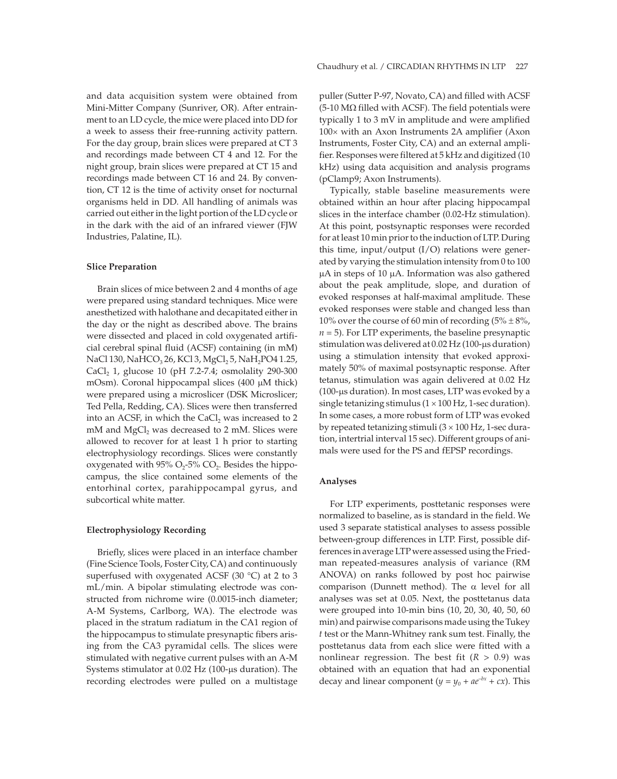and data acquisition system were obtained from Mini-Mitter Company (Sunriver, OR). After entrainment to an LD cycle, the mice were placed into DD for a week to assess their free-running activity pattern. For the day group, brain slices were prepared at CT 3 and recordings made between CT 4 and 12. For the night group, brain slices were prepared at CT 15 and recordings made between CT 16 and 24. By convention, CT 12 is the time of activity onset for nocturnal organisms held in DD. All handling of animals was carried out either in the light portion of the LD cycle or in the dark with the aid of an infrared viewer (FJW Industries, Palatine, IL).

## **Slice Preparation**

Brain slices of mice between 2 and 4 months of age were prepared using standard techniques. Mice were anesthetized with halothane and decapitated either in the day or the night as described above. The brains were dissected and placed in cold oxygenated artificial cerebral spinal fluid (ACSF) containing (in mM) NaCl 130, NaHCO<sub>3</sub> 26, KCl 3, MgCl<sub>2</sub> 5, NaH<sub>2</sub>PO4 1.25, CaCl<sub>2</sub> 1, glucose 10 (pH 7.2-7.4; osmolality 290-300 mOsm). Coronal hippocampal slices (400 M thick) were prepared using a microslicer (DSK Microslicer; Ted Pella, Redding, CA). Slices were then transferred into an ACSF, in which the  $CaCl<sub>2</sub>$  was increased to 2  $m$ M and MgCl<sub>2</sub> was decreased to 2 mM. Slices were allowed to recover for at least 1 h prior to starting electrophysiology recordings. Slices were constantly oxygenated with  $95\%$  O<sub>2</sub>-5% CO<sub>2</sub>. Besides the hippocampus, the slice contained some elements of the entorhinal cortex, parahippocampal gyrus, and subcortical white matter.

## **Electrophysiology Recording**

Briefly, slices were placed in an interface chamber (Fine Science Tools, Foster City, CA) and continuously superfused with oxygenated ACSF (30 °C) at 2 to 3 mL/min. A bipolar stimulating electrode was constructed from nichrome wire (0.0015-inch diameter; A-M Systems, Carlborg, WA). The electrode was placed in the stratum radiatum in the CA1 region of the hippocampus to stimulate presynaptic fibers arising from the CA3 pyramidal cells. The slices were stimulated with negative current pulses with an A-M Systems stimulator at 0.02 Hz (100-µs duration). The recording electrodes were pulled on a multistage puller (Sutter P-97, Novato, CA) and filled with ACSF (5-10  $\text{M}\Omega$  filled with ACSF). The field potentials were typically 1 to 3 mV in amplitude and were amplified  $100 \times$  with an Axon Instruments 2A amplifier (Axon Instruments, Foster City, CA) and an external amplifier. Responses were filtered at 5 kHz and digitized (10 kHz) using data acquisition and analysis programs (pClamp9; Axon Instruments).

Typically, stable baseline measurements were obtained within an hour after placing hippocampal slices in the interface chamber (0.02-Hz stimulation). At this point, postsynaptic responses were recorded for at least 10 min prior to the induction of LTP. During this time, input/output (I/O) relations were generated by varying the stimulation intensity from 0 to 100 A in steps of 10 A. Information was also gathered about the peak amplitude, slope, and duration of evoked responses at half-maximal amplitude. These evoked responses were stable and changed less than 10% over the course of 60 min of recording  $(5\% \pm 8\%)$ , *n* = 5). For LTP experiments, the baseline presynaptic stimulation was delivered at 0.02 Hz (100-µs duration) using a stimulation intensity that evoked approximately 50% of maximal postsynaptic response. After tetanus, stimulation was again delivered at 0.02 Hz (100- s duration). In most cases, LTP was evoked by a single tetanizing stimulus  $(1 \times 100 \text{ Hz}, 1\text{-sec duration}).$ In some cases, a more robust form of LTP was evoked by repeated tetanizing stimuli  $(3 \times 100 \text{ Hz}, 1\text{-sec}$  duration, intertrial interval 15 sec). Different groups of animals were used for the PS and fEPSP recordings.

## **Analyses**

For LTP experiments, posttetanic responses were normalized to baseline, as is standard in the field. We used 3 separate statistical analyses to assess possible between-group differences in LTP. First, possible differences in average LTP were assessed using the Friedman repeated-measures analysis of variance (RM ANOVA) on ranks followed by post hoc pairwise comparison (Dunnett method). The  $\alpha$  level for all analyses was set at 0.05. Next, the posttetanus data were grouped into 10-min bins (10, 20, 30, 40, 50, 60 min) and pairwise comparisons made using the Tukey *t* test or the Mann-Whitney rank sum test. Finally, the posttetanus data from each slice were fitted with a nonlinear regression. The best fit  $(R > 0.9)$  was obtained with an equation that had an exponential decay and linear component ( $y = y_0 + ae^{-bx} + cx$ ). This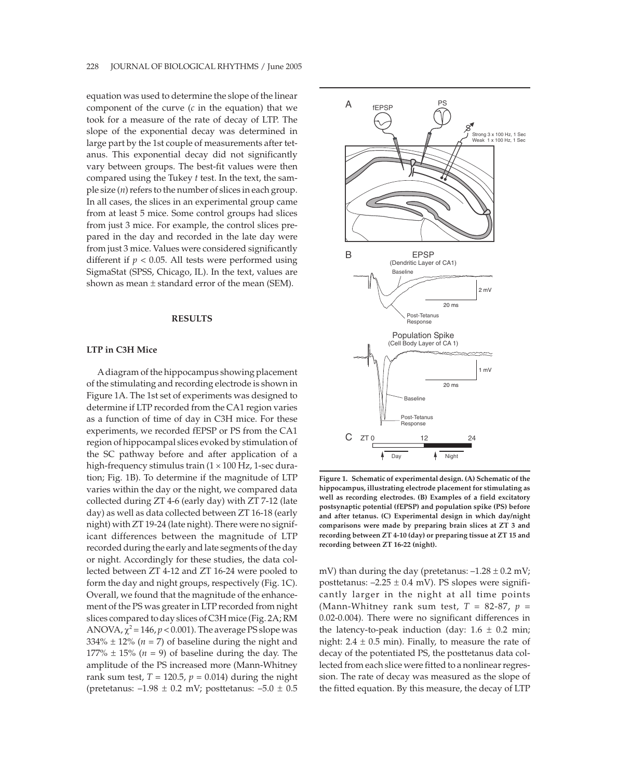equation was used to determine the slope of the linear component of the curve (*c* in the equation) that we took for a measure of the rate of decay of LTP. The slope of the exponential decay was determined in large part by the 1st couple of measurements after tetanus. This exponential decay did not significantly vary between groups. The best-fit values were then compared using the Tukey *t* test. In the text, the sample size (*n*) refers to the number of slices in each group. In all cases, the slices in an experimental group came from at least 5 mice. Some control groups had slices from just 3 mice. For example, the control slices prepared in the day and recorded in the late day were from just 3 mice. Values were considered significantly different if  $p < 0.05$ . All tests were performed using SigmaStat (SPSS, Chicago, IL). In the text, values are shown as mean  $\pm$  standard error of the mean (SEM).

## **RESULTS**

## **LTP in C3H Mice**

Adiagram of the hippocampus showing placement of the stimulating and recording electrode is shown in Figure 1A. The 1st set of experiments was designed to determine if LTP recorded from the CA1 region varies as a function of time of day in C3H mice. For these experiments, we recorded fEPSP or PS from the CA1 region of hippocampal slices evoked by stimulation of the SC pathway before and after application of a high-frequency stimulus train  $(1 \times 100 \text{ Hz}, 1\text{-sec}$  duration; Fig. 1B). To determine if the magnitude of LTP varies within the day or the night, we compared data collected during ZT 4-6 (early day) with ZT 7-12 (late day) as well as data collected between ZT 16-18 (early night) with ZT 19-24 (late night). There were no significant differences between the magnitude of LTP recorded during the early and late segments of the day or night. Accordingly for these studies, the data collected between ZT 4-12 and ZT 16-24 were pooled to form the day and night groups, respectively (Fig. 1C). Overall, we found that the magnitude of the enhancement of the PS was greater in LTP recorded from night slices compared to day slices of C3H mice (Fig. 2A; RM ANOVA,  $\chi^2$  = 146,  $p$  < 0.001). The average PS slope was  $334\% \pm 12\%$  ( $n = 7$ ) of baseline during the night and 177%  $\pm$  15% (*n* = 9) of baseline during the day. The amplitude of the PS increased more (Mann-Whitney rank sum test,  $T = 120.5$ ,  $p = 0.014$ ) during the night (pretetanus:  $-1.98 \pm 0.2$  mV; posttetanus:  $-5.0 \pm 0.5$ 



**Figure 1. Schematic of experimental design. (A) Schematic of the hippocampus, illustrating electrode placement for stimulating as well as recording electrodes. (B) Examples of a field excitatory postsynaptic potential (fEPSP) and population spike (PS) before and after tetanus. (C) Experimental design in which day/night comparisons were made by preparing brain slices at ZT 3 and recording between ZT 4-10 (day) or preparing tissue at ZT 15 and recording between ZT 16-22 (night).**

mV) than during the day (pretetanus:  $-1.28 \pm 0.2$  mV; posttetanus:  $-2.25 \pm 0.4$  mV). PS slopes were significantly larger in the night at all time points (Mann-Whitney rank sum test,  $T = 82-87$ ,  $p =$ 0.02-0.004). There were no significant differences in the latency-to-peak induction (day:  $1.6 \pm 0.2$  min; night:  $2.4 \pm 0.5$  min). Finally, to measure the rate of decay of the potentiated PS, the posttetanus data collected from each slice were fitted to a nonlinear regression. The rate of decay was measured as the slope of the fitted equation. By this measure, the decay of LTP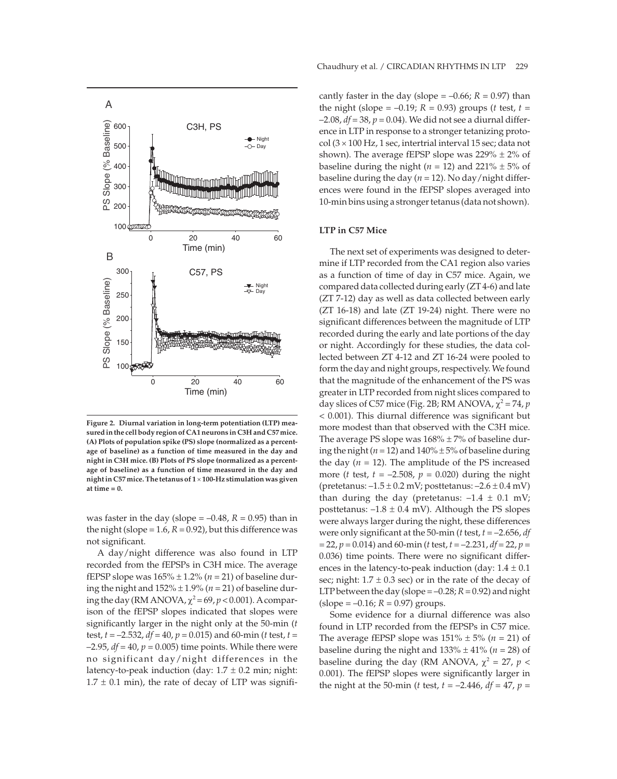

**Figure 2. Diurnal variation in long-term potentiation (LTP) measured in the cell body region of CA1 neurons in C3H and C57 mice. (A) Plots of population spike (PS) slope (normalized as a percentage of baseline) as a function of time measured in the day and night in C3H mice. (B) Plots of PS slope (normalized as a percentage of baseline) as a function of time measured in the day and night in C57 mice. The tetanus of 1 100-Hz stimulation was given at time = 0.**

was faster in the day (slope  $= -0.48$ ,  $R = 0.95$ ) than in the night (slope =  $1.6$ ,  $R = 0.92$ ), but this difference was not significant.

A day/night difference was also found in LTP recorded from the fEPSPs in C3H mice. The average fEPSP slope was  $165\% \pm 1.2\%$  ( $n = 21$ ) of baseline during the night and  $152\% \pm 1.9\%$  ( $n = 21$ ) of baseline during the day (RM ANOVA,  $\chi^2$  = 69,  $p$  < 0.001). A comparison of the fEPSP slopes indicated that slopes were significantly larger in the night only at the 50-min (*t* test, *t* = –2.532, *df* = 40, *p* = 0.015) and 60-min (*t* test, *t* =  $-2.95$ ,  $df = 40$ ,  $p = 0.005$ ) time points. While there were no significant day/night differences in the latency-to-peak induction (day:  $1.7 \pm 0.2$  min; night:  $1.7 \pm 0.1$  min), the rate of decay of LTP was significantly faster in the day (slope  $= -0.66$ ;  $R = 0.97$ ) than the night (slope =  $-0.19$ ;  $R = 0.93$ ) groups (*t* test,  $t =$ –2.08, *df* = 38, *p* = 0.04). We did not see a diurnal difference in LTP in response to a stronger tetanizing proto $col (3 \times 100 \text{ Hz}, 1 \text{ sec}, \text{intertrial interval } 15 \text{ sec}; \text{data not}$ shown). The average fEPSP slope was  $229\% \pm 2\%$  of baseline during the night ( $n = 12$ ) and 221%  $\pm$  5% of baseline during the day ( $n = 12$ ). No day/night differences were found in the fEPSP slopes averaged into 10-min bins using a stronger tetanus (data not shown).

## **LTP in C57 Mice**

The next set of experiments was designed to determine if LTP recorded from the CA1 region also varies as a function of time of day in C57 mice. Again, we compared data collected during early (ZT 4-6) and late (ZT 7-12) day as well as data collected between early (ZT 16-18) and late (ZT 19-24) night. There were no significant differences between the magnitude of LTP recorded during the early and late portions of the day or night. Accordingly for these studies, the data collected between ZT 4-12 and ZT 16-24 were pooled to form the day and night groups, respectively. We found that the magnitude of the enhancement of the PS was greater in LTP recorded from night slices compared to day slices of C57 mice (Fig. 2B; RM ANOVA,  $\chi^2$  = 74, *p* < 0.001). This diurnal difference was significant but more modest than that observed with the C3H mice. The average PS slope was  $168\% \pm 7\%$  of baseline during the night ( $n = 12$ ) and  $140\% \pm 5\%$  of baseline during the day  $(n = 12)$ . The amplitude of the PS increased more (*t* test,  $t = -2.508$ ,  $p = 0.020$ ) during the night (pretetanus:  $-1.5 \pm 0.2$  mV; posttetanus:  $-2.6 \pm 0.4$  mV) than during the day (pretetanus:  $-1.4 \pm 0.1$  mV; posttetanus:  $-1.8 \pm 0.4$  mV). Although the PS slopes were always larger during the night, these differences were only significant at the 50-min (*t* test, *t* = –2.656, *df* = 22, *p* = 0.014) and 60-min (*t* test, *t* = –2.231, *df* = 22, *p* = 0.036) time points. There were no significant differences in the latency-to-peak induction (day:  $1.4 \pm 0.1$ ) sec; night:  $1.7 \pm 0.3$  sec) or in the rate of the decay of LTP between the day (slope  $= -0.28$ ;  $R = 0.92$ ) and night  $(slope = -0.16; R = 0.97)$  groups.

Some evidence for a diurnal difference was also found in LTP recorded from the fEPSPs in C57 mice. The average fEPSP slope was  $151\% \pm 5\%$  ( $n = 21$ ) of baseline during the night and  $133\% \pm 41\%$  ( $n = 28$ ) of baseline during the day (RM ANOVA,  $\chi^2$  = 27,  $p$  < 0.001). The fEPSP slopes were significantly larger in the night at the 50-min (*t* test,  $t = -2.446$ ,  $df = 47$ ,  $p =$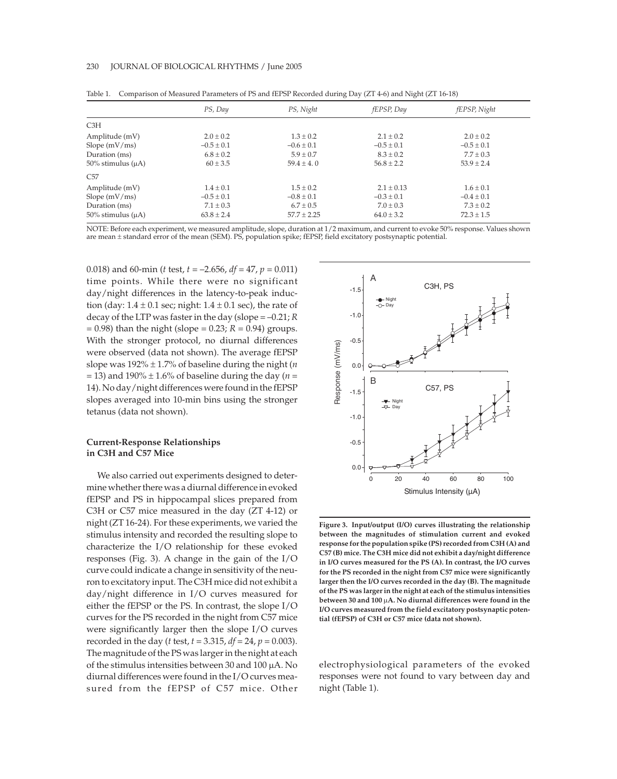|                            | PS, Day        | PS, Night       | fEPSP, Day     | fEPSP, Night   |
|----------------------------|----------------|-----------------|----------------|----------------|
| C3H                        |                |                 |                |                |
| Amplitude (mV)             | $2.0 \pm 0.2$  | $1.3 \pm 0.2$   | $2.1 \pm 0.2$  | $2.0 \pm 0.2$  |
| Slope $(mV/ms)$            | $-0.5 \pm 0.1$ | $-0.6 \pm 0.1$  | $-0.5 \pm 0.1$ | $-0.5 \pm 0.1$ |
| Duration (ms)              | $6.8 \pm 0.2$  | $5.9 \pm 0.7$   | $8.3 \pm 0.2$  | $7.7 \pm 0.3$  |
| $50\%$ stimulus ( $\mu$ A) | $60 \pm 3.5$   | $59.4 \pm 4.0$  | $56.8 \pm 2.2$ | $53.9 \pm 2.4$ |
| C57                        |                |                 |                |                |
| Amplitude (mV)             | $1.4 \pm 0.1$  | $1.5 \pm 0.2$   | $2.1 + 0.13$   | $1.6 \pm 0.1$  |
| Slope $(mV/ms)$            | $-0.5 \pm 0.1$ | $-0.8 \pm 0.1$  | $-0.3 \pm 0.1$ | $-0.4 \pm 0.1$ |
| Duration (ms)              | $7.1 \pm 0.3$  | $6.7 \pm 0.5$   | $7.0 \pm 0.3$  | $7.3 \pm 0.2$  |
| $50\%$ stimulus ( $\mu$ A) | $63.8 \pm 2.4$ | $57.7 \pm 2.25$ | $64.0 \pm 3.2$ | $72.3 \pm 1.5$ |

Table 1. Comparison of Measured Parameters of PS and fEPSP Recorded during Day (ZT 4-6) and Night (ZT 16-18)

NOTE: Before each experiment, we measured amplitude, slope, duration at 1/2 maximum, and current to evoke 50% response. Values shown are mean ± standard error of the mean (SEM). PS, population spike; fEPSP, field excitatory postsynaptic potential.

0.018) and 60-min (*t* test, *t* = –2.656, *df* = 47, *p* = 0.011) time points. While there were no significant day/night differences in the latency-to-peak induction (day:  $1.4 \pm 0.1$  sec; night:  $1.4 \pm 0.1$  sec), the rate of decay of the LTP was faster in the day (slope = –0.21; *R*  $= 0.98$ ) than the night (slope  $= 0.23; R = 0.94$ ) groups. With the stronger protocol, no diurnal differences were observed (data not shown). The average fEPSP slope was  $192\% \pm 1.7\%$  of baseline during the night (*n*  $=$  13) and 190%  $\pm$  1.6% of baseline during the day (*n* = 14). No day/night differences were found in the fEPSP slopes averaged into 10-min bins using the stronger tetanus (data not shown).

## **Current-Response Relationships in C3H and C57 Mice**

We also carried out experiments designed to determine whether there was a diurnal difference in evoked fEPSP and PS in hippocampal slices prepared from C3H or C57 mice measured in the day (ZT 4-12) or night (ZT 16-24). For these experiments, we varied the stimulus intensity and recorded the resulting slope to characterize the I/O relationship for these evoked responses (Fig. 3). A change in the gain of the I/O curve could indicate a change in sensitivity of the neuron to excitatory input. The C3H mice did not exhibit a day/night difference in I/O curves measured for either the fEPSP or the PS. In contrast, the slope I/O curves for the PS recorded in the night from C57 mice were significantly larger then the slope I/O curves recorded in the day (*t* test, *t* = 3.315, *df* = 24, *p* = 0.003). The magnitude of the PS was larger in the night at each of the stimulus intensities between 30 and 100 A. No diurnal differences were found in the I/O curves measured from the fEPSP of C57 mice. Other



**Figure 3. Input/output (I/O) curves illustrating the relationship between the magnitudes of stimulation current and evoked response for the population spike (PS) recorded from C3H (A) and C57 (B) mice. The C3H mice did not exhibit a day/night difference in I/O curves measured for the PS (A). In contrast, the I/O curves for the PS recorded in the night from C57 mice were significantly larger then the I/O curves recorded in the day (B). The magnitude of the PS was larger in the night at each of the stimulus intensities between 30 and 100 A. No diurnal differences were found in the I/O curves measured from the field excitatory postsynaptic potential (fEPSP) of C3H or C57 mice (data not shown).**

electrophysiological parameters of the evoked responses were not found to vary between day and night (Table 1).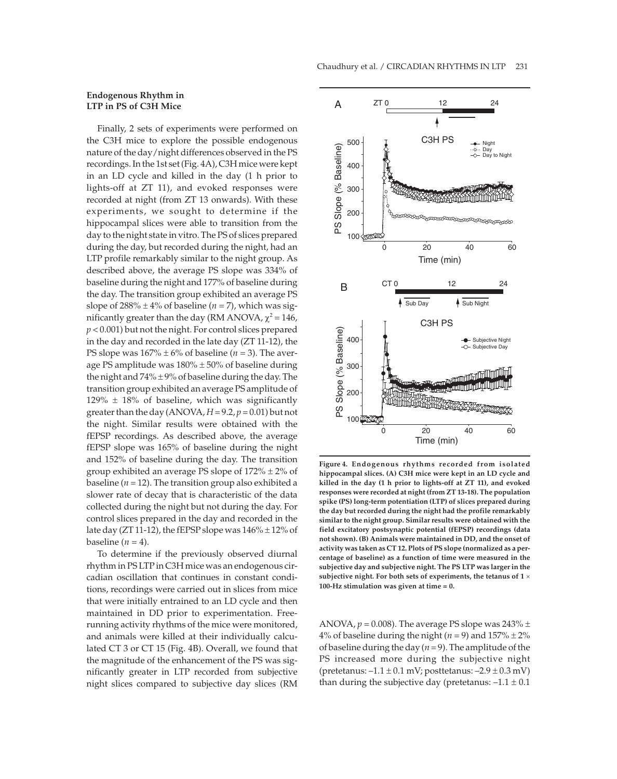## **Endogenous Rhythm in LTP in PS of C3H Mice**

Finally, 2 sets of experiments were performed on the C3H mice to explore the possible endogenous nature of the day/night differences observed in the PS recordings. In the 1st set (Fig. 4A), C3H mice were kept in an LD cycle and killed in the day (1 h prior to lights-off at ZT 11), and evoked responses were recorded at night (from ZT 13 onwards). With these experiments, we sought to determine if the hippocampal slices were able to transition from the day to the night state in vitro. The PS of slices prepared during the day, but recorded during the night, had an LTP profile remarkably similar to the night group. As described above, the average PS slope was 334% of baseline during the night and 177% of baseline during the day. The transition group exhibited an average PS slope of  $288\% \pm 4\%$  of baseline ( $n = 7$ ), which was significantly greater than the day (RM ANOVA,  $\chi^2$  = 146, *p* < 0.001) but not the night. For control slices prepared in the day and recorded in the late day (ZT 11-12), the PS slope was  $167\% \pm 6\%$  of baseline ( $n = 3$ ). The average PS amplitude was  $180\% \pm 50\%$  of baseline during the night and  $74\% \pm 9\%$  of baseline during the day. The transition group exhibited an average PS amplitude of  $129\% \pm 18\%$  of baseline, which was significantly greater than the day  $(ANOVA, H = 9.2, p = 0.01)$  but not the night. Similar results were obtained with the fEPSP recordings. As described above, the average fEPSP slope was 165% of baseline during the night and 152% of baseline during the day. The transition group exhibited an average PS slope of  $172\% \pm 2\%$  of baseline ( $n = 12$ ). The transition group also exhibited a slower rate of decay that is characteristic of the data collected during the night but not during the day. For control slices prepared in the day and recorded in the late day (ZT 11-12), the fEPSP slope was  $146\% \pm 12\%$  of baseline  $(n = 4)$ .

To determine if the previously observed diurnal rhythm in PS LTP in C3H mice was an endogenous circadian oscillation that continues in constant conditions, recordings were carried out in slices from mice that were initially entrained to an LD cycle and then maintained in DD prior to experimentation. Freerunning activity rhythms of the mice were monitored, and animals were killed at their individually calculated CT 3 or CT 15 (Fig. 4B). Overall, we found that the magnitude of the enhancement of the PS was significantly greater in LTP recorded from subjective night slices compared to subjective day slices (RM



**Figure 4. Endogenous rhythms recorded from isolated hippocampal slices. (A) C3H mice were kept in an LD cycle and killed in the day (1 h prior to lights-off at ZT 11), and evoked responses were recorded at night (from ZT 13-18). The population spike (PS) long-term potentiation (LTP) of slices prepared during the day but recorded during the night had the profile remarkably similar to the night group. Similar results were obtained with the field excitatory postsynaptic potential (fEPSP) recordings (data not shown). (B) Animals were maintained in DD, and the onset of activity was taken as CT 12. Plots of PS slope (normalized as a percentage of baseline) as a function of time were measured in the subjective day and subjective night. The PS LTP was larger in the subjective night. For both sets of experiments, the tetanus of 1 100-Hz stimulation was given at time = 0.**

ANOVA,  $p = 0.008$ ). The average PS slope was  $243\% \pm$ 4% of baseline during the night  $(n = 9)$  and  $157\% \pm 2\%$ of baseline during the day  $(n = 9)$ . The amplitude of the PS increased more during the subjective night (pretetanus:  $-1.1 \pm 0.1$  mV; posttetanus:  $-2.9 \pm 0.3$  mV) than during the subjective day (pretetanus:  $-1.1 \pm 0.1$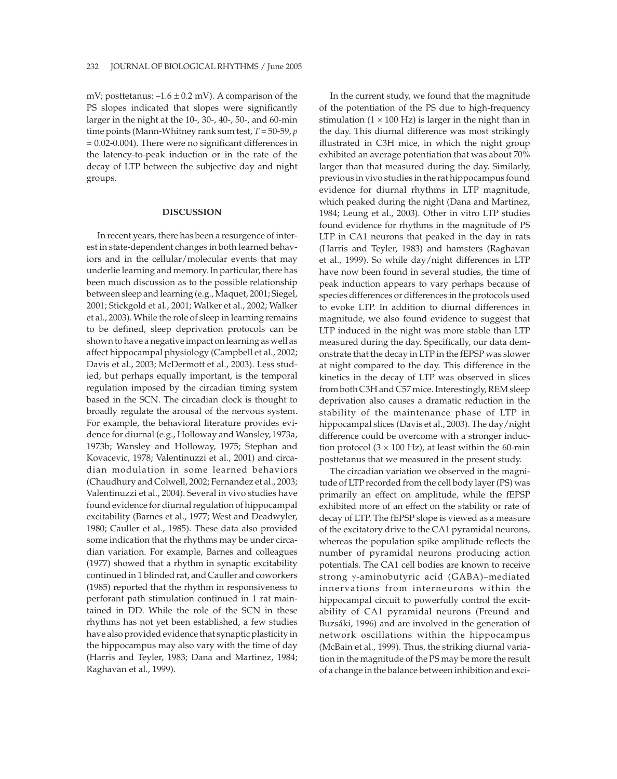mV; posttetanus:  $-1.6 \pm 0.2$  mV). A comparison of the PS slopes indicated that slopes were significantly larger in the night at the 10-, 30-, 40-, 50-, and 60-min time points (Mann-Whitney rank sum test, *T* = 50-59, *p* = 0.02-0.004). There were no significant differences in the latency-to-peak induction or in the rate of the decay of LTP between the subjective day and night groups.

#### **DISCUSSION**

In recent years, there has been a resurgence of interest in state-dependent changes in both learned behaviors and in the cellular/molecular events that may underlie learning and memory. In particular, there has been much discussion as to the possible relationship between sleep and learning (e.g., Maquet, 2001; Siegel, 2001; Stickgold et al., 2001; Walker et al., 2002; Walker et al., 2003). While the role of sleep in learning remains to be defined, sleep deprivation protocols can be shown to have a negative impact on learning as well as affect hippocampal physiology (Campbell et al., 2002; Davis et al., 2003; McDermott et al., 2003). Less studied, but perhaps equally important, is the temporal regulation imposed by the circadian timing system based in the SCN. The circadian clock is thought to broadly regulate the arousal of the nervous system. For example, the behavioral literature provides evidence for diurnal (e.g., Holloway and Wansley, 1973a, 1973b; Wansley and Holloway, 1975; Stephan and Kovacevic, 1978; Valentinuzzi et al., 2001) and circadian modulation in some learned behaviors (Chaudhury and Colwell, 2002; Fernandez et al., 2003; Valentinuzzi et al., 2004). Several in vivo studies have found evidence for diurnal regulation of hippocampal excitability (Barnes et al., 1977; West and Deadwyler, 1980; Cauller et al., 1985). These data also provided some indication that the rhythms may be under circadian variation. For example, Barnes and colleagues (1977) showed that a rhythm in synaptic excitability continued in 1 blinded rat, and Cauller and coworkers (1985) reported that the rhythm in responsiveness to perforant path stimulation continued in 1 rat maintained in DD. While the role of the SCN in these rhythms has not yet been established, a few studies have also provided evidence that synaptic plasticity in the hippocampus may also vary with the time of day (Harris and Teyler, 1983; Dana and Martinez, 1984; Raghavan et al., 1999).

In the current study, we found that the magnitude of the potentiation of the PS due to high-frequency stimulation  $(1 \times 100 \text{ Hz})$  is larger in the night than in the day. This diurnal difference was most strikingly illustrated in C3H mice, in which the night group exhibited an average potentiation that was about 70% larger than that measured during the day. Similarly, previous in vivo studies in the rat hippocampus found evidence for diurnal rhythms in LTP magnitude, which peaked during the night (Dana and Martinez, 1984; Leung et al., 2003). Other in vitro LTP studies found evidence for rhythms in the magnitude of PS LTP in CA1 neurons that peaked in the day in rats (Harris and Teyler, 1983) and hamsters (Raghavan et al., 1999). So while day/night differences in LTP have now been found in several studies, the time of peak induction appears to vary perhaps because of species differences or differences in the protocols used to evoke LTP. In addition to diurnal differences in magnitude, we also found evidence to suggest that LTP induced in the night was more stable than LTP measured during the day. Specifically, our data demonstrate that the decay in LTP in the fEPSP was slower at night compared to the day. This difference in the kinetics in the decay of LTP was observed in slices from both C3H and C57 mice. Interestingly, REM sleep deprivation also causes a dramatic reduction in the stability of the maintenance phase of LTP in hippocampal slices (Davis et al., 2003). The day/night difference could be overcome with a stronger induction protocol  $(3 \times 100 \text{ Hz})$ , at least within the 60-min posttetanus that we measured in the present study.

The circadian variation we observed in the magnitude of LTP recorded from the cell body layer (PS) was primarily an effect on amplitude, while the fEPSP exhibited more of an effect on the stability or rate of decay of LTP. The fEPSP slope is viewed as a measure of the excitatory drive to the CA1 pyramidal neurons, whereas the population spike amplitude reflects the number of pyramidal neurons producing action potentials. The CA1 cell bodies are known to receive strong  $\gamma$ -aminobutyric acid (GABA)–mediated innervations from interneurons within the hippocampal circuit to powerfully control the excitability of CA1 pyramidal neurons (Freund and Buzsáki, 1996) and are involved in the generation of network oscillations within the hippocampus (McBain et al., 1999). Thus, the striking diurnal variation in the magnitude of the PS may be more the result of a change in the balance between inhibition and exci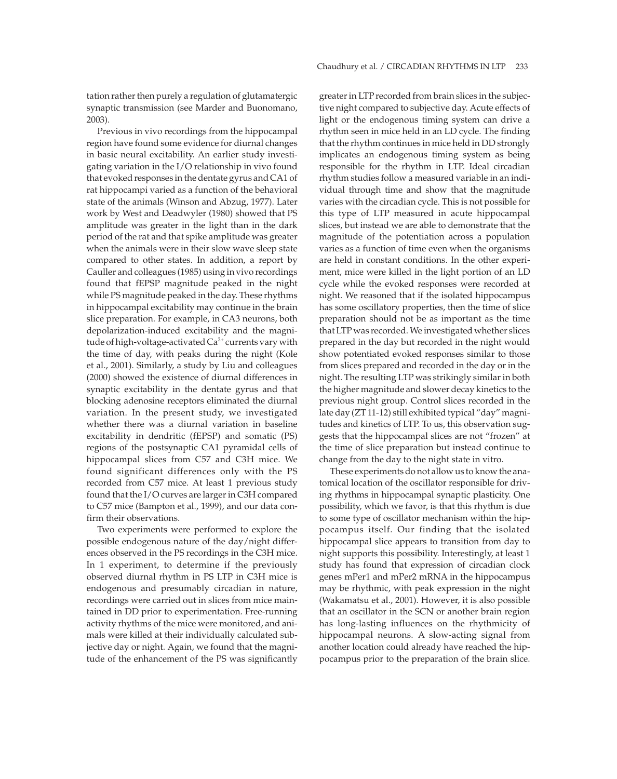tation rather then purely a regulation of glutamatergic synaptic transmission (see Marder and Buonomano, 2003).

Previous in vivo recordings from the hippocampal region have found some evidence for diurnal changes in basic neural excitability. An earlier study investigating variation in the I/O relationship in vivo found that evoked responses in the dentate gyrus and CA1 of rat hippocampi varied as a function of the behavioral state of the animals (Winson and Abzug, 1977). Later work by West and Deadwyler (1980) showed that PS amplitude was greater in the light than in the dark period of the rat and that spike amplitude was greater when the animals were in their slow wave sleep state compared to other states. In addition, a report by Cauller and colleagues (1985) using in vivo recordings found that fEPSP magnitude peaked in the night while PS magnitude peaked in the day. These rhythms in hippocampal excitability may continue in the brain slice preparation. For example, in CA3 neurons, both depolarization-induced excitability and the magnitude of high-voltage-activated  $Ca<sup>2+</sup>$  currents vary with the time of day, with peaks during the night (Kole et al., 2001). Similarly, a study by Liu and colleagues (2000) showed the existence of diurnal differences in synaptic excitability in the dentate gyrus and that blocking adenosine receptors eliminated the diurnal variation. In the present study, we investigated whether there was a diurnal variation in baseline excitability in dendritic (fEPSP) and somatic (PS) regions of the postsynaptic CA1 pyramidal cells of hippocampal slices from C57 and C3H mice. We found significant differences only with the PS recorded from C57 mice. At least 1 previous study found that the I/O curves are larger in C3H compared to C57 mice (Bampton et al., 1999), and our data confirm their observations.

Two experiments were performed to explore the possible endogenous nature of the day/night differences observed in the PS recordings in the C3H mice. In 1 experiment, to determine if the previously observed diurnal rhythm in PS LTP in C3H mice is endogenous and presumably circadian in nature, recordings were carried out in slices from mice maintained in DD prior to experimentation. Free-running activity rhythms of the mice were monitored, and animals were killed at their individually calculated subjective day or night. Again, we found that the magnitude of the enhancement of the PS was significantly greater in LTP recorded from brain slices in the subjective night compared to subjective day. Acute effects of light or the endogenous timing system can drive a rhythm seen in mice held in an LD cycle. The finding that the rhythm continues in mice held in DD strongly implicates an endogenous timing system as being responsible for the rhythm in LTP. Ideal circadian rhythm studies follow a measured variable in an individual through time and show that the magnitude varies with the circadian cycle. This is not possible for this type of LTP measured in acute hippocampal slices, but instead we are able to demonstrate that the magnitude of the potentiation across a population varies as a function of time even when the organisms are held in constant conditions. In the other experiment, mice were killed in the light portion of an LD cycle while the evoked responses were recorded at night. We reasoned that if the isolated hippocampus has some oscillatory properties, then the time of slice preparation should not be as important as the time that LTP was recorded. We investigated whether slices prepared in the day but recorded in the night would show potentiated evoked responses similar to those from slices prepared and recorded in the day or in the night. The resulting LTP was strikingly similar in both the higher magnitude and slower decay kinetics to the previous night group. Control slices recorded in the late day (ZT 11-12) still exhibited typical "day" magnitudes and kinetics of LTP. To us, this observation suggests that the hippocampal slices are not "frozen" at the time of slice preparation but instead continue to change from the day to the night state in vitro.

These experiments do not allow us to know the anatomical location of the oscillator responsible for driving rhythms in hippocampal synaptic plasticity. One possibility, which we favor, is that this rhythm is due to some type of oscillator mechanism within the hippocampus itself. Our finding that the isolated hippocampal slice appears to transition from day to night supports this possibility. Interestingly, at least 1 study has found that expression of circadian clock genes mPer1 and mPer2 mRNA in the hippocampus may be rhythmic, with peak expression in the night (Wakamatsu et al., 2001). However, it is also possible that an oscillator in the SCN or another brain region has long-lasting influences on the rhythmicity of hippocampal neurons. A slow-acting signal from another location could already have reached the hippocampus prior to the preparation of the brain slice.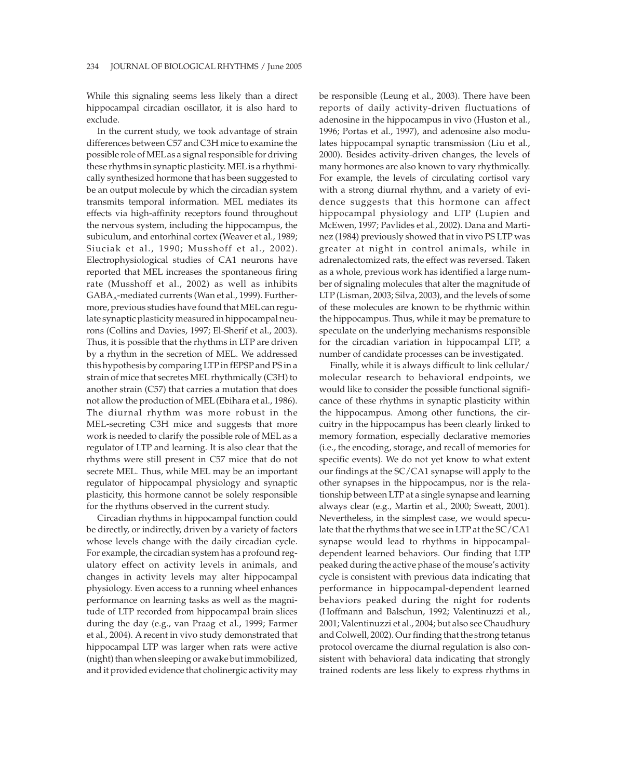While this signaling seems less likely than a direct hippocampal circadian oscillator, it is also hard to exclude.

In the current study, we took advantage of strain differences between C57 and C3H mice to examine the possible role of MELas a signal responsible for driving these rhythms in synaptic plasticity. MEL is a rhythmically synthesized hormone that has been suggested to be an output molecule by which the circadian system transmits temporal information. MEL mediates its effects via high-affinity receptors found throughout the nervous system, including the hippocampus, the subiculum, and entorhinal cortex (Weaver et al., 1989; Siuciak et al., 1990; Musshoff et al., 2002). Electrophysiological studies of CA1 neurons have reported that MEL increases the spontaneous firing rate (Musshoff et al., 2002) as well as inhibits  $GABA_A$ -mediated currents (Wan et al., 1999). Furthermore, previous studies have found that MELcan regulate synaptic plasticity measured in hippocampal neurons (Collins and Davies, 1997; El-Sherif et al., 2003). Thus, it is possible that the rhythms in LTP are driven by a rhythm in the secretion of MEL. We addressed this hypothesis by comparing LTP in fEPSP and PS in a strain of mice that secretes MEL rhythmically (C3H) to another strain (C57) that carries a mutation that does not allow the production of MEL (Ebihara et al., 1986). The diurnal rhythm was more robust in the MEL-secreting C3H mice and suggests that more work is needed to clarify the possible role of MEL as a regulator of LTP and learning. It is also clear that the rhythms were still present in C57 mice that do not secrete MEL. Thus, while MEL may be an important regulator of hippocampal physiology and synaptic plasticity, this hormone cannot be solely responsible for the rhythms observed in the current study.

Circadian rhythms in hippocampal function could be directly, or indirectly, driven by a variety of factors whose levels change with the daily circadian cycle. For example, the circadian system has a profound regulatory effect on activity levels in animals, and changes in activity levels may alter hippocampal physiology. Even access to a running wheel enhances performance on learning tasks as well as the magnitude of LTP recorded from hippocampal brain slices during the day (e.g., van Praag et al., 1999; Farmer et al., 2004). A recent in vivo study demonstrated that hippocampal LTP was larger when rats were active (night) than when sleeping or awake but immobilized, and it provided evidence that cholinergic activity may be responsible (Leung et al., 2003). There have been reports of daily activity-driven fluctuations of adenosine in the hippocampus in vivo (Huston et al., 1996; Portas et al., 1997), and adenosine also modulates hippocampal synaptic transmission (Liu et al., 2000). Besides activity-driven changes, the levels of many hormones are also known to vary rhythmically. For example, the levels of circulating cortisol vary with a strong diurnal rhythm, and a variety of evidence suggests that this hormone can affect hippocampal physiology and LTP (Lupien and McEwen, 1997; Pavlides et al., 2002). Dana and Martinez (1984) previously showed that in vivo PS LTP was greater at night in control animals, while in adrenalectomized rats, the effect was reversed. Taken as a whole, previous work has identified a large number of signaling molecules that alter the magnitude of LTP (Lisman, 2003; Silva, 2003), and the levels of some of these molecules are known to be rhythmic within the hippocampus. Thus, while it may be premature to speculate on the underlying mechanisms responsible for the circadian variation in hippocampal LTP, a number of candidate processes can be investigated.

Finally, while it is always difficult to link cellular/ molecular research to behavioral endpoints, we would like to consider the possible functional significance of these rhythms in synaptic plasticity within the hippocampus. Among other functions, the circuitry in the hippocampus has been clearly linked to memory formation, especially declarative memories (i.e., the encoding, storage, and recall of memories for specific events). We do not yet know to what extent our findings at the SC/CA1 synapse will apply to the other synapses in the hippocampus, nor is the relationship between LTP at a single synapse and learning always clear (e.g., Martin et al., 2000; Sweatt, 2001). Nevertheless, in the simplest case, we would speculate that the rhythms that we see in LTP at the SC/CA1 synapse would lead to rhythms in hippocampaldependent learned behaviors. Our finding that LTP peaked during the active phase of the mouse's activity cycle is consistent with previous data indicating that performance in hippocampal-dependent learned behaviors peaked during the night for rodents (Hoffmann and Balschun, 1992; Valentinuzzi et al., 2001; Valentinuzzi et al., 2004; but also see Chaudhury and Colwell, 2002). Our finding that the strong tetanus protocol overcame the diurnal regulation is also consistent with behavioral data indicating that strongly trained rodents are less likely to express rhythms in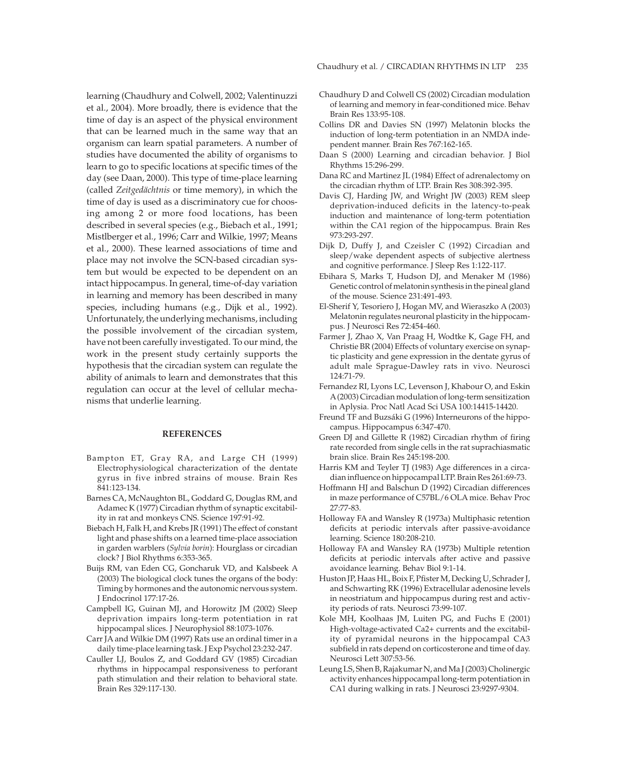learning (Chaudhury and Colwell, 2002; Valentinuzzi et al., 2004). More broadly, there is evidence that the time of day is an aspect of the physical environment that can be learned much in the same way that an organism can learn spatial parameters. A number of studies have documented the ability of organisms to learn to go to specific locations at specific times of the day (see Daan, 2000). This type of time-place learning (called *Zeitgedächtnis* or time memory), in which the time of day is used as a discriminatory cue for choosing among 2 or more food locations, has been described in several species (e.g., Biebach et al., 1991; Mistlberger et al., 1996; Carr and Wilkie, 1997; Means et al., 2000). These learned associations of time and place may not involve the SCN-based circadian system but would be expected to be dependent on an intact hippocampus. In general, time-of-day variation in learning and memory has been described in many species, including humans (e.g., Dijk et al., 1992). Unfortunately, the underlying mechanisms, including the possible involvement of the circadian system, have not been carefully investigated. To our mind, the work in the present study certainly supports the hypothesis that the circadian system can regulate the ability of animals to learn and demonstrates that this regulation can occur at the level of cellular mechanisms that underlie learning.

## **REFERENCES**

- Bampton ET, Gray RA, and Large CH (1999) Electrophysiological characterization of the dentate gyrus in five inbred strains of mouse. Brain Res 841:123-134.
- Barnes CA, McNaughton BL, Goddard G, Douglas RM, and Adamec K (1977) Circadian rhythm of synaptic excitability in rat and monkeys CNS. Science 197:91-92.
- Biebach H, Falk H, and Krebs JR (1991) The effect of constant light and phase shifts on a learned time-place association in garden warblers (*Sylvia borin*): Hourglass or circadian clock? J Biol Rhythms 6:353-365.
- Buijs RM, van Eden CG, Goncharuk VD, and Kalsbeek A (2003) The biological clock tunes the organs of the body: Timing by hormones and the autonomic nervous system. J Endocrinol 177:17-26.
- Campbell IG, Guinan MJ, and Horowitz JM (2002) Sleep deprivation impairs long-term potentiation in rat hippocampal slices. J Neurophysiol 88:1073-1076.
- Carr JA and Wilkie DM (1997) Rats use an ordinal timer in a daily time-place learning task. J Exp Psychol 23:232-247.
- Cauller LJ, Boulos Z, and Goddard GV (1985) Circadian rhythms in hippocampal responsiveness to perforant path stimulation and their relation to behavioral state. Brain Res 329:117-130.
- Chaudhury D and Colwell CS (2002) Circadian modulation of learning and memory in fear-conditioned mice. Behav Brain Res 133:95-108.
- Collins DR and Davies SN (1997) Melatonin blocks the induction of long-term potentiation in an NMDA independent manner. Brain Res 767:162-165.
- Daan S (2000) Learning and circadian behavior. J Biol Rhythms 15:296-299.
- Dana RC and Martinez JL (1984) Effect of adrenalectomy on the circadian rhythm of LTP. Brain Res 308:392-395.
- Davis CJ, Harding JW, and Wright JW (2003) REM sleep deprivation-induced deficits in the latency-to-peak induction and maintenance of long-term potentiation within the CA1 region of the hippocampus. Brain Res 973:293-297.
- Dijk D, Duffy J, and Czeisler C (1992) Circadian and sleep/wake dependent aspects of subjective alertness and cognitive performance. J Sleep Res 1:122-117.
- Ebihara S, Marks T, Hudson DJ, and Menaker M (1986) Genetic control of melatonin synthesis in the pineal gland of the mouse. Science 231:491-493.
- El-Sherif Y, Tesoriero J, Hogan MV, and Wieraszko A (2003) Melatonin regulates neuronal plasticity in the hippocampus. J Neurosci Res 72:454-460.
- Farmer J, Zhao X, Van Praag H, Wodtke K, Gage FH, and Christie BR (2004) Effects of voluntary exercise on synaptic plasticity and gene expression in the dentate gyrus of adult male Sprague-Dawley rats in vivo. Neurosci 124:71-79.
- Fernandez RI, Lyons LC, Levenson J, Khabour O, and Eskin A(2003) Circadian modulation of long-term sensitization in Aplysia. Proc Natl Acad Sci USA 100:14415-14420.
- Freund TF and Buzsáki G (1996) Interneurons of the hippocampus. Hippocampus 6:347-470.
- Green DJ and Gillette R (1982) Circadian rhythm of firing rate recorded from single cells in the rat suprachiasmatic brain slice. Brain Res 245:198-200.
- Harris KM and Teyler TJ (1983) Age differences in a circadian influence on hippocampal LTP. Brain Res 261:69-73.
- Hoffmann HJ and Balschun D (1992) Circadian differences in maze performance of C57BL/6 OLA mice. Behav Proc 27:77-83.
- Holloway FA and Wansley R (1973a) Multiphasic retention deficits at periodic intervals after passive-avoidance learning. Science 180:208-210.
- Holloway FA and Wansley RA (1973b) Multiple retention deficits at periodic intervals after active and passive avoidance learning. Behav Biol 9:1-14.
- Huston JP, Haas HL, Boix F, Pfister M, Decking U, Schrader J, and Schwarting RK (1996) Extracellular adenosine levels in neostriatum and hippocampus during rest and activity periods of rats. Neurosci 73:99-107.
- Kole MH, Koolhaas JM, Luiten PG, and Fuchs E (2001) High-voltage-activated Ca2+ currents and the excitability of pyramidal neurons in the hippocampal CA3 subfield in rats depend on corticosterone and time of day. Neurosci Lett 307:53-56.
- Leung LS, Shen B, Rajakumar N, and Ma J (2003) Cholinergic activity enhances hippocampal long-term potentiation in CA1 during walking in rats. J Neurosci 23:9297-9304.